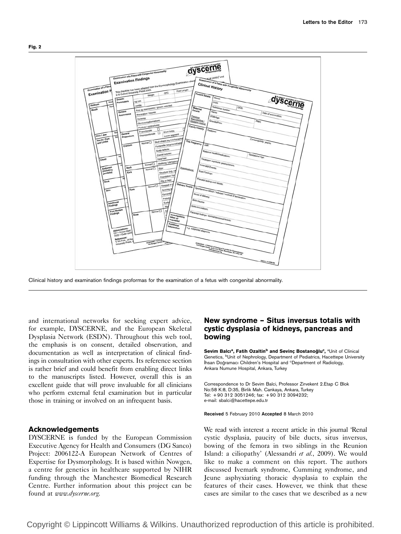

Clinical history and examination findings proformas for the examination of a fetus with congenital abnormality.

and international networks for seeking expert advice, for example, DYSCERNE, and the European Skeletal Dysplasia Network (ESDN). Throughout this web tool, the emphasis is on consent, detailed observation, and documentation as well as interpretation of clinical findings in consultation with other experts. Its reference section is rather brief and could benefit from enabling direct links to the manuscripts listed. However, overall this is an excellent guide that will prove invaluable for all clinicians who perform external fetal examination but in particular those in training or involved on an infrequent basis.

## Acknowledgements

DYSCERNE is funded by the European Commission Executive Agency for Health and Consumers (DG Sanco) Project: 2006122-A European Network of Centres of Expertise for Dysmorphology. It is based within Nowgen, a centre for genetics in healthcare supported by NIHR funding through the Manchester Biomedical Research Centre. Further information about this project can be found at www.dyscerne.org.

# New syndrome – Situs inversus totalis with cystic dysplasia of kidneys, pancreas and bowing

Sevim Balcı<sup>a</sup>, Fatih Ozaltin<sup>b</sup> and Sevinç Bostanoğlu<sup>c</sup>, <sup>a</sup>Unit of Clinical Genetics, <sup>b</sup>Unit of Nephrology, Department of Pediatrics, Hacettepe University İhsan Doğramacı Children's Hospital and <sup>c</sup>Department of Radiology, Ankara Numune Hospital, Ankara, Turkey

Correspondence to Dr Sevim Balci, Professor Zirvekent 2.Etap C Blok No:58 K:8, D:35, Birlik Mah. Cankaya, Ankara, Turkey Tel: + 90 312 3051246; fax: + 90 312 3094232; e-mail: sbalci@hacettepe.edu.tr

#### Received 5 February 2010 Accepted 8 March 2010

We read with interest a recent article in this journal 'Renal cystic dysplasia, paucity of bile ducts, situs inversus, bowing of the femora in two siblings in the Reunion Island: a ciliopathy' (Alessandri et al., 2009). We would like to make a comment on this report. The authors discussed Ivemark syndrome, Cumming syndrome, and Jeune asphyxiating thoracic dysplasia to explain the features of their cases. However, we think that these cases are similar to the cases that we described as a new